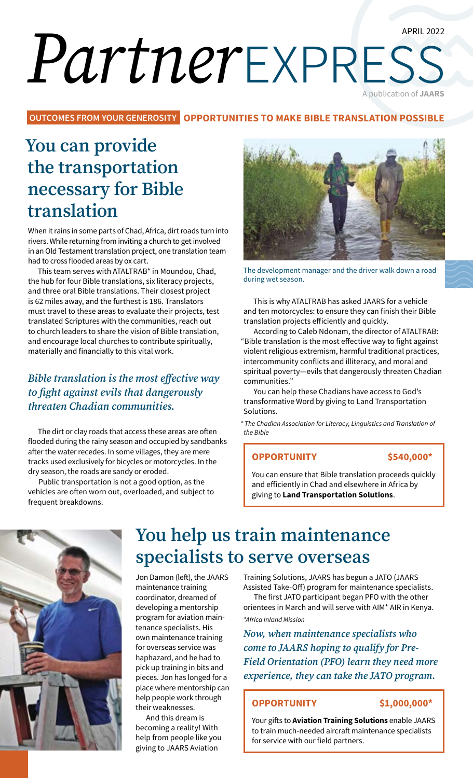# APRIL 2022 *Partner*express A publication of **JAARS**

**OUTCOMES FROM YOUR GENEROSITY OPPORTUNITIES TO MAKE BIBLE TRANSLATION POSSIBLE**

# **You can provide the transportation necessary for Bible translation**

When it rains in some parts of Chad, Africa, dirt roads turn into rivers. While returning from inviting a church to get involved in an Old Testament translation project, one translation team had to cross flooded areas by ox cart.

This team serves with ATALTRAB\* in Moundou, Chad, the hub for four Bible translations, six literacy projects, and three oral Bible translations. Their closest project is 62 miles away, and the furthest is 186. Translators must travel to these areas to evaluate their projects, test translated Scriptures with the communities, reach out to church leaders to share the vision of Bible translation, and encourage local churches to contribute spiritually, materially and financially to this vital work.

### *Bible translation is the most effective way to fight against evils that dangerously threaten Chadian communities.*

The dirt or clay roads that access these areas are often flooded during the rainy season and occupied by sandbanks after the water recedes. In some villages, they are mere tracks used exclusively for bicycles or motorcycles. In the dry season, the roads are sandy or eroded.

Public transportation is not a good option, as the vehicles are often worn out, overloaded, and subject to frequent breakdowns.



The development manager and the driver walk down a road during wet season.

This is why ATALTRAB has asked JAARS for a vehicle and ten motorcycles: to ensure they can finish their Bible translation projects efficiently and quickly.

According to Caleb Ndonam, the director of ATALTRAB: "Bible translation is the most effective way to fight against violent religious extremism, harmful traditional practices, intercommunity conflicts and illiteracy, and moral and spiritual poverty—evils that dangerously threaten Chadian communities."

You can help these Chadians have access to God's transformative Word by giving to Land Transportation Solutions.

*\* The Chadian Association for Literacy, Linguistics and Translation of the Bible*

#### **OPPORTUNITY \$540,000\***

You can ensure that Bible translation proceeds quickly and efficiently in Chad and elsewhere in Africa by giving to **Land Transportation Solutions**.



# **You help us train maintenance specialists to serve overseas**

Jon Damon (left), the JAARS maintenance training coordinator, dreamed of developing a mentorship program for aviation maintenance specialists. His own maintenance training for overseas service was haphazard, and he had to pick up training in bits and pieces. Jon has longed for a place where mentorship can help people work through their weaknesses.

And this dream is becoming a reality! With help from people like you giving to JAARS Aviation

Training Solutions, JAARS has begun a JATO (JAARS Assisted Take-Off) program for maintenance specialists.

The first JATO participant began PFO with the other orientees in March and will serve with AIM\* AIR in Kenya. *\*Africa Inland Mission*

*Now, when maintenance specialists who come to JAARS hoping to qualify for Pre-Field Orientation (PFO) learn they need more experience, they can take the JATO program.*

### **OPPORTUNITY \$1,000,000\***

Your gifts to **Aviation Training Solutions** enable JAARS to train much-needed aircraft maintenance specialists for service with our field partners.